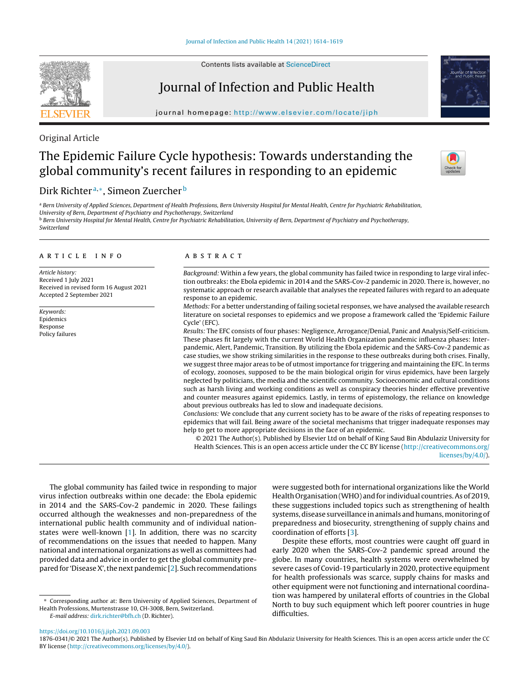Contents lists available at [ScienceDirect](http://www.sciencedirect.com/science/journal/aip/18760341)

# Journal of Infection and Public Health

iournal homepage: http://www.elsevier.com/locate/iiph

# Original Article

# The Epidemic Failure Cycle hypothesis: Towards understanding the global community's recent failures in responding to an epidemic

# Dirk Richter<sup>a,\*</sup>, Simeon Zuercher<sup>b</sup>

a Bern University of Applied Sciences, Department of Health Professions, Bern University Hospital for Mental Health, Centre for Psychiatric Rehabilitation, University of Bern, Department of Psychiatry and Psychotherapy, Switzerland **b Bern University Hospital for Mental Health, Centre for Psychiatric Rehabilitation, University of Bern, Department of Psychiatry and Psychotherapy,** Switzerland

### a r t i c l e i n f o

Article history: Received 1 July 2021 Received in revised form 16 August 2021 Accepted 2 September 2021

Keywords: Epidemics Response Policy failures

# A B S T R A C T

Background: Within a few years, the global community has failed twice in responding to large viral infection outbreaks: the Ebola epidemic in 2014 and the SARS-Cov-2 pandemic in 2020. There is, however, no systematic approach or research available that analyses the repeated failures with regard to an adequate response to an epidemic.

Methods: For a better understanding of failing societal responses, we have analysed the available research literature on societal responses to epidemics and we propose a framework called the 'Epidemic Failure Cycle' (EFC).

Results: The EFC consists of four phases: Negligence, Arrogance/Denial, Panic and Analysis/Self-criticism. These phases fit largely with the current World Health Organization pandemic influenza phases: Interpandemic, Alert, Pandemic, Transition. By utilizing the Ebola epidemic and the SARS-Cov-2 pandemic as case studies, we show striking similarities in the response to these outbreaks during both crises. Finally, we suggest three major areas to be of utmost importance for triggering and maintaining the EFC. In terms of ecology, zoonoses, supposed to be the main biological origin for virus epidemics, have been largely neglected by politicians, the media and the scientific community. Socioeconomic and cultural conditions such as harsh living and working conditions as well as conspiracy theories hinder effective preventive and counter measures against epidemics. Lastly, in terms of epistemology, the reliance on knowledge about previous outbreaks has led to slow and inadequate decisions.

Conclusions: We conclude that any current society has to be aware of the risks of repeating responses to epidemics that will fail. Being aware of the societal mechanisms that trigger inadequate responses may help to get to more appropriate decisions in the face of an epidemic.

© 2021 The Author(s). Published by Elsevier Ltd on behalf of King Saud Bin Abdulaziz University for Health Sciences. This is an open access article under the CC BY license ([http://creativecommons.org/](http://creativecommons.org/licenses/by/4.0/) [licenses/by/4.0/\)](http://creativecommons.org/licenses/by/4.0/).

The global community has failed twice in responding to major virus infection outbreaks within one decade: the Ebola epidemic in 2014 and the SARS-Cov-2 pandemic in 2020. These failings occurred although the weaknesses and non-preparedness of the international public health community and of individual nationstates were well-known [1]. In addition, there was no scarcity of recommendations on the issues that needed to happen. Many national and international organizations as well as committees had provided data and advice in order to get the global community prepared for 'Disease X', the next pandemic  $[2]$ . Such recommendations

∗ Corresponding author at: Bern University of Applied Sciences, Department of Health Professions, Murtenstrasse 10, CH-3008, Bern, Switzerland. E-mail address: [dirk.richter@bfh.ch](mailto:dirk.richter@bfh.ch) (D. Richter).

were suggested both for international organizations like the World Health Organisation(WHO) and for individual countries.As of 2019, these suggestions included topics such as strengthening of health systems, disease surveillance in animals and humans, monitoring of preparedness and biosecurity, strengthening of supply chains and coordination of efforts [3].

Despite these efforts, most countries were caught off guard in early 2020 when the SARS-Cov-2 pandemic spread around the globe. In many countries, health systems were overwhelmed by severe cases of Covid-19 particularly in 2020, protective equipment for health professionals was scarce, supply chains for masks and other equipment were not functioning and international coordination was hampered by unilateral efforts of countries in the Global North to buy such equipment which left poorer countries in huge difficulties.

<https://doi.org/10.1016/j.jiph.2021.09.003>







<sup>1876-0341/©</sup> 2021 The Author(s). Published by Elsevier Ltd on behalf of King Saud Bin Abdulaziz University for Health Sciences. This is an open access article under the CC BY license [\(http://creativecommons.org/licenses/by/4.0/](http://creativecommons.org/licenses/by/4.0/)).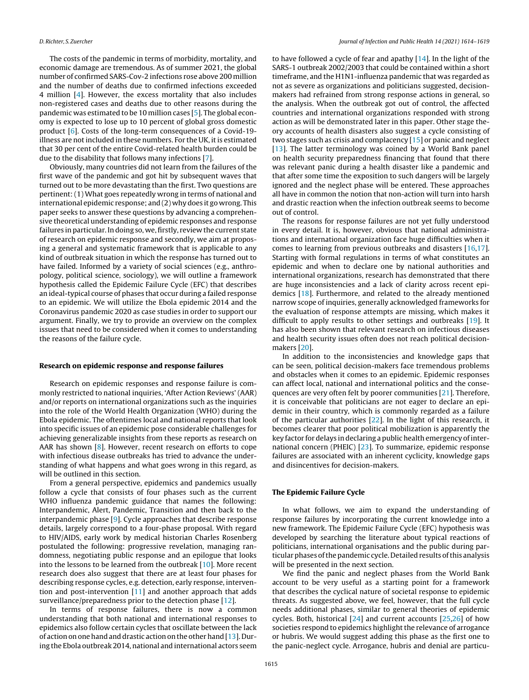The costs of the pandemic in terms of morbidity, mortality, and economic damage are tremendous. As of summer 2021, the global number of confirmed SARS-Cov-2 infections rose above 200 million and the number of deaths due to confirmed infections exceeded 4 million [4]. However, the excess mortality that also includes non-registered cases and deaths due to other reasons during the pandemic was estimated to be 10 million cases [5]. The global economy is expected to lose up to 10 percent of global gross domestic product [6]. Costs of the long-term consequences of a Covid-19 illness are not included in these numbers. For the UK, it is estimated that 30 per cent of the entire Covid-related health burden could be due to the disability that follows many infections [7].

Obviously, many countries did not learn from the failures of the first wave of the pandemic and got hit by subsequent waves that turned out to be more devastating than the first. Two questions are pertinent:(1) What goes repeatedly wrong in terms of national and international epidemic response; and (2) why does it go wrong. This paper seeks to answer these questions by advancing a comprehensive theoretical understanding of epidemic responses and response failures in particular. In doing so, we, firstly, review the current state of research on epidemic response and secondly, we aim at proposing a general and systematic framework that is applicable to any kind of outbreak situation in which the response has turned out to have failed. Informed by a variety of social sciences (e.g., anthropology, political science, sociology), we will outline a framework hypothesis called the Epidemic Failure Cycle (EFC) that describes an ideal-typical course of phases that occur during a failed response to an epidemic. We will utilize the Ebola epidemic 2014 and the Coronavirus pandemic 2020 as case studies in order to support our argument. Finally, we try to provide an overview on the complex issues that need to be considered when it comes to understanding the reasons of the failure cycle.

### **Research on epidemic response and response failures**

Research on epidemic responses and response failure is commonly restricted to national inquiries, 'After Action Reviews' (AAR) and/or reports on international organizations such as the inquiries into the role of the World Health Organization (WHO) during the Ebola epidemic. The oftentimes local and national reports that look into specific issues of an epidemic pose considerable challenges for achieving generalizable insights from these reports as research on AAR has shown  $[8]$ . However, recent research on efforts to cope with infectious disease outbreaks has tried to advance the understanding of what happens and what goes wrong in this regard, as will be outlined in this section.

From a general perspective, epidemics and pandemics usually follow a cycle that consists of four phases such as the current WHO influenza pandemic guidance that names the following: Interpandemic, Alert, Pandemic, Transition and then back to the interpandemic phase [9]. Cycle approaches that describe response details, largely correspond to a four-phase proposal. With regard to HIV/AIDS, early work by medical historian Charles Rosenberg postulated the following: progressive revelation, managing randomness, negotiating public response and an epilogue that looks into the lessons to be learned from the outbreak [10]. More recent research does also suggest that there are at least four phases for describing response cycles, e.g. detection, early response, intervention and post-intervention [11] and another approach that adds surveillance/preparedness prior to the detection phase [12].

In terms of response failures, there is now a common understanding that both national and international responses to epidemics also follow certain cycles that oscillate between the lack of action on one hand and drastic action on the other hand [13]. During the Ebola outbreak 2014, national and international actors seem

to have followed a cycle of fear and apathy [14]. In the light of the SARS-1 outbreak 2002/2003 that could be contained within a short timeframe, and the H1N1-influenza pandemic that was regarded as not as severe as organizations and politicians suggested, decisionmakers had refrained from strong response actions in general, so the analysis. When the outbreak got out of control, the affected countries and international organizations responded with strong action as will be demonstrated later in this paper. Other stage theory accounts of health disasters also suggest a cycle consisting of two stages such as crisis and complacency [15] or panic and neglect [13]. The latter terminology was coined by a World Bank panel on health security preparedness financing that found that there was relevant panic during a health disaster like a pandemic and that after some time the exposition to such dangers will be largely ignored and the neglect phase will be entered. These approaches all have in common the notion that non-action will turn into harsh and drastic reaction when the infection outbreak seems to become out of control.

The reasons for response failures are not yet fully understood in every detail. It is, however, obvious that national administrations and international organization face huge difficulties when it comes to learning from previous outbreaks and disasters [16,17]. Starting with formal regulations in terms of what constitutes an epidemic and when to declare one by national authorities and international organizations, research has demonstrated that there are huge inconsistencies and a lack of clarity across recent epidemics [18]. Furthermore, and related to the already mentioned narrow scope of inquiries, generally acknowledged frameworks for the evaluation of response attempts are missing, which makes it difficult to apply results to other settings and outbreaks [19]. It has also been shown that relevant research on infectious diseases and health security issues often does not reach political decisionmakers [20].

In addition to the inconsistencies and knowledge gaps that can be seen, political decision-makers face tremendous problems and obstacles when it comes to an epidemic. Epidemic responses can affect local, national and international politics and the consequences are very often felt by poorer communities [21]. Therefore, it is conceivable that politicians are not eager to declare an epidemic in their country, which is commonly regarded as a failure of the particular authorities [22]. In the light of this research, it becomes clearer that poor political mobilization is apparently the key factor for delays in declaring a public health emergency ofinternational concern (PHEIC) [23]. To summarize, epidemic response failures are associated with an inherent cyclicity, knowledge gaps and disincentives for decision-makers.

### **The Epidemic Failure Cycle**

In what follows, we aim to expand the understanding of response failures by incorporating the current knowledge into a new framework. The Epidemic Failure Cycle (EFC) hypothesis was developed by searching the literature about typical reactions of politicians, international organisations and the public during particular phases of the pandemic cycle. Detailed results of this analysis will be presented in the next section.

We find the panic and neglect phases from the World Bank account to be very useful as a starting point for a framework that describes the cyclical nature of societal response to epidemic threats. As suggested above, we feel, however, that the full cycle needs additional phases, similar to general theories of epidemic cycles. Both, historical [24] and current accounts [25,26] of how societies respond to epidemics highlight the relevance of arrogance or hubris. We would suggest adding this phase as the first one to the panic-neglect cycle. Arrogance, hubris and denial are particu-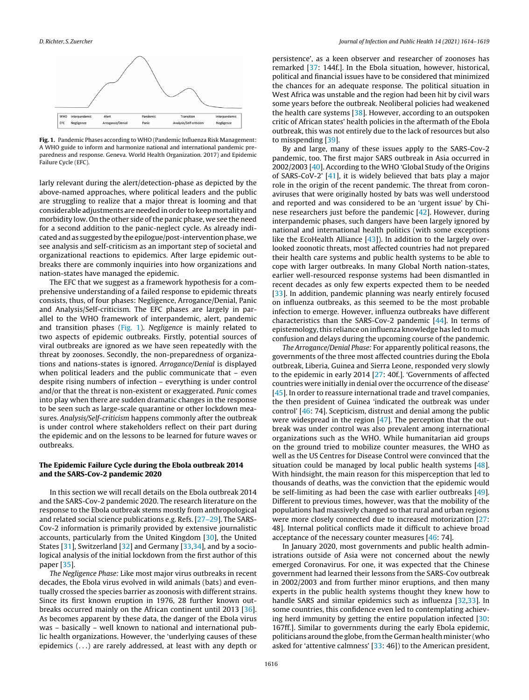

**Fig. 1.** Pandemic Phases according to WHO (Pandemic Influenza Risk Management: A WHO guide to inform and harmonize national and international pandemic preparedness and response. Geneva. World Health Organization. 2017) and Epidemic Failure Cycle (EFC).

larly relevant during the alert/detection-phase as depicted by the above-named approaches, where political leaders and the public are struggling to realize that a major threat is looming and that considerable adjustments areneeded inorder to keepmortality and morbidity low. On the other side of the panic phase, we see the need for a second addition to the panic-neglect cycle. As already indicated and as suggested by the epilogue/post-intervention phase, we see analysis and self-criticism as an important step of societal and organizational reactions to epidemics. After large epidemic outbreaks there are commonly inquiries into how organizations and nation-states have managed the epidemic.

The EFC that we suggest as a framework hypothesis for a comprehensive understanding of a failed response to epidemic threats consists, thus, of four phases: Negligence, Arrogance/Denial, Panic and Analysis/Self-criticism. The EFC phases are largely in parallel to the WHO framework of interpandemic, alert, pandemic and transition phases (Fig. 1). Negligence is mainly related to two aspects of epidemic outbreaks. Firstly, potential sources of viral outbreaks are ignored as we have seen repeatedly with the threat by zoonoses. Secondly, the non-preparedness of organizations and nations-states is ignored. Arrogance/Denial is displayed when political leaders and the public communicate that – even despite rising numbers of infection – everything is under control and/or that the threat is non-existent or exaggerated. Panic comes into play when there are sudden dramatic changes in the response to be seen such as large-scale quarantine or other lockdown measures. Analysis/Self-criticism happens commonly after the outbreak is under control where stakeholders reflect on their part during the epidemic and on the lessons to be learned for future waves or outbreaks.

## **The Epidemic Failure Cycle during the Ebola outbreak 2014 and the SARS-Cov-2 pandemic 2020**

In this section we will recall details on the Ebola outbreak 2014 and the SARS-Cov-2 pandemic 2020. The research literature on the response to the Ebola outbreak stems mostly from anthropological and related social science publications e.g. Refs. [27–29]. The SARS-Cov-2 information is primarily provided by extensive journalistic accounts, particularly from the United Kingdom [30], the United States [31], Switzerland [32] and Germany [33,34], and by a sociological analysis of the initial lockdown from the first author of this paper [35].

The Negligence Phase: Like most major virus outbreaks in recent decades, the Ebola virus evolved in wild animals (bats) and eventually crossed the species barrier as zoonosis with different strains. Since its first known eruption in 1976, 28 further known outbreaks occurred mainly on the African continent until 2013 [36]. As becomes apparent by these data, the danger of the Ebola virus was – basically – well known to national and international public health organizations. However, the 'underlying causes of these epidemics (. . .) are rarely addressed, at least with any depth or

persistence', as a keen observer and researcher of zoonoses has remarked [37: 144f.]. In the Ebola situation, however, historical, political and financial issues have to be considered that minimized the chances for an adequate response. The political situation in West Africa was unstable and the region had been hit by civil wars some years before the outbreak. Neoliberal policies had weakened the health care systems [38]. However, according to an outspoken critic of African states' health policies in the aftermath of the Ebola outbreak, this was not entirely due to the lack of resources but also to misspending [39].

By and large, many of these issues apply to the SARS-Cov-2 pandemic, too. The first major SARS outbreak in Asia occurred in 2002/2003 [40]. According to the WHO 'Global Study of the Origins of SARS-CoV-2' [41], it is widely believed that bats play a major role in the origin of the recent pandemic. The threat from coronaviruses that were originally hosted by bats was well understood and reported and was considered to be an 'urgent issue' by Chinese researchers just before the pandemic [42]. However, during interpandemic phases, such dangers have been largely ignored by national and international health politics (with some exceptions like the EcoHealth Alliance  $[43]$ ). In addition to the largely overlooked zoonotic threats, most affected countries had not prepared their health care systems and public health systems to be able to cope with larger outbreaks. In many Global North nation-states, earlier well-resourced response systems had been dismantled in recent decades as only few experts expected them to be needed [33]. In addition, pandemic planning was nearly entirely focused on influenza outbreaks, as this seemed to be the most probable infection to emerge. However, influenza outbreaks have different characteristics than the SARS-Cov-2 pandemic [44]. In terms of epistemology,this reliance on influenza knowledge has led to much confusion and delays during the upcoming course of the pandemic.

The Arrogance/Denial Phase: For apparently political reasons, the governments of the three most affected countries during the Ebola outbreak, Liberia, Guinea and Sierra Leone, responded very slowly to the epidemic in early 2014 [27: 40f.]. 'Governments of affected countries were initially in denial over the occurrence of the disease' [45]. In order to reassure international trade and travel companies, the then president of Guinea 'indicated the outbreak was under control' [46: 74]. Scepticism, distrust and denial among the public were widespread in the region [47]. The perception that the outbreak was under control was also prevalent among international organizations such as the WHO. While humanitarian aid groups on the ground tried to mobilize counter measures, the WHO as well as the US Centres for Disease Control were convinced that the situation could be managed by local public health systems [48]. With hindsight, the main reason for this misperception that led to thousands of deaths, was the conviction that the epidemic would be self-limiting as had been the case with earlier outbreaks [49]. Different to previous times, however, was that the mobility of the populations had massively changed so that rural and urban regions were more closely connected due to increased motorization [27: 48]. Internal political conflicts made it difficult to achieve broad acceptance of the necessary counter measures [46: 74].

In January 2020, most governments and public health administrations outside of Asia were not concerned about the newly emerged Coronavirus. For one, it was expected that the Chinese government had learned their lessons from the SARS-Cov outbreak in 2002/2003 and from further minor eruptions, and then many experts in the public health systems thought they knew how to handle SARS and similar epidemics such as influenza [32,33]. In some countries, this confidence even led to contemplating achieving herd immunity by getting the entire population infected [30: 167ff.]. Similar to governments during the early Ebola epidemic, politicians around the globe, from the German health minister (who asked for 'attentive calmness' [33: 46]) to the American president,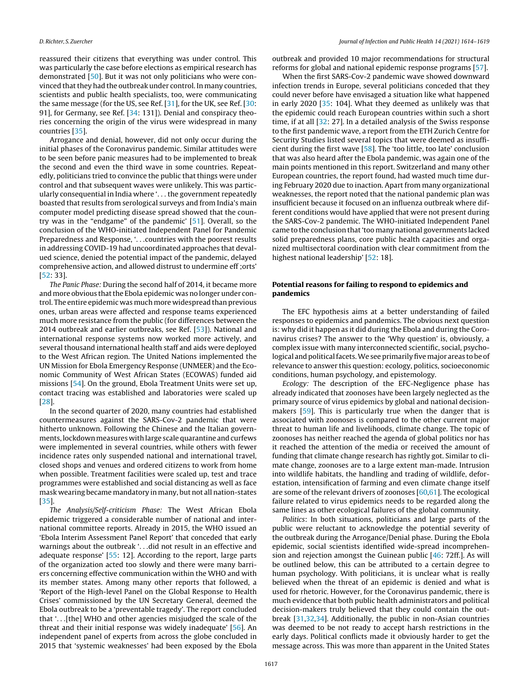reassured their citizens that everything was under control. This was particularly the case before elections as empirical research has demonstrated [50]. But it was not only politicians who were convinced that they had the outbreak under control. In many countries, scientists and public health specialists, too, were communicating the same message (for the US, see Ref. [31], for the UK, see Ref. [30: 91], for Germany, see Ref. [34: 131]). Denial and conspiracy theories concerning the origin of the virus were widespread in many countries [35].

Arrogance and denial, however, did not only occur during the initial phases of the Coronavirus pandemic. Similar attitudes were to be seen before panic measures had to be implemented to break the second and even the third wave in some countries. Repeatedly, politicians tried to convince the public that things were under control and that subsequent waves were unlikely. This was particularly consequential in India where '. . . the government repeatedly boasted that results from serological surveys and from India's main computer model predicting disease spread showed that the country was in the "endgame" of the pandemic' [51]. Overall, so the conclusion of the WHO-initiated Independent Panel for Pandemic Preparedness and Response, '. . .countries with the poorest results in addressing COVID-19 had uncoordinated approaches that devalued science, denied the potential impact of the pandemic, delayed comprehensive action, and allowed distrust to undermine eff ;orts' [52: 33].

The Panic Phase: During the second half of 2014, it became more and more obvious that the Ebola epidemic was no longer under control. The entire epidemic was much more widespread than previous ones, urban areas were affected and response teams experienced much more resistance from the public (for differences between the 2014 outbreak and earlier outbreaks, see Ref. [53]). National and international response systems now worked more actively, and several thousand international health staff and aids were deployed to the West African region. The United Nations implemented the UN Mission for Ebola Emergency Response (UNMEER) and the Economic Community of West African States (ECOWAS) funded aid missions [54]. On the ground, Ebola Treatment Units were set up, contact tracing was established and laboratories were scaled up [28].

In the second quarter of 2020, many countries had established countermeasures against the SARS-Cov-2 pandemic that were hitherto unknown. Following the Chinese and the Italian governments, lockdown measures with large scale quarantine and curfews were implemented in several countries, while others with fewer incidence rates only suspended national and international travel, closed shops and venues and ordered citizens to work from home when possible. Treatment facilities were scaled up, test and trace programmes were established and social distancing as well as face mask wearing became mandatory in many, but not all nation-states [35].

The Analysis/Self-criticism Phase: The West African Ebola epidemic triggered a considerable number of national and international committee reports. Already in 2015, the WHO issued an 'Ebola Interim Assessment Panel Report' that conceded that early warnings about the outbreak '. . .did not result in an effective and adequate response' [55: 12]. According to the report, large parts of the organization acted too slowly and there were many barriers concerning effective communication within the WHO and with its member states. Among many other reports that followed, a 'Report of the High-level Panel on the Global Response to Health Crises' commissioned by the UN Secretary General, deemed the Ebola outbreak to be a 'preventable tragedy'. The report concluded that '. . .[the] WHO and other agencies misjudged the scale of the threat and their initial response was widely inadequate' [56]. An independent panel of experts from across the globe concluded in 2015 that 'systemic weaknesses' had been exposed by the Ebola

outbreak and provided 10 major recommendations for structural reforms for global and national epidemic response programs [57].

When the first SARS-Cov-2 pandemic wave showed downward infection trends in Europe, several politicians conceded that they could never before have envisaged a situation like what happened in early 2020 [35: 104]. What they deemed as unlikely was that the epidemic could reach European countries within such a short time, if at all [32: 27]. In a detailed analysis of the Swiss response to the first pandemic wave, a report from the ETH Zurich Centre for Security Studies listed several topics that were deemed as insufficient during the first wave [58]. The 'too little, too late' conclusion that was also heard after the Ebola pandemic, was again one of the main points mentioned in this report. Switzerland and many other European countries, the report found, had wasted much time during February 2020 due to inaction. Apart from many organizational weaknesses, the report noted that the national pandemic plan was insufficient because it focused on an influenza outbreak where different conditions would have applied that were not present during the SARS-Cov-2 pandemic. The WHO-initiated Independent Panel came to the conclusion that'too many national governments lacked solid preparedness plans, core public health capacities and organized multisectoral coordination with clear commitment from the highest national leadership' [52: 18].

## **Potential reasons for failing to respond to epidemics and pandemics**

The EFC hypothesis aims at a better understanding of failed responses to epidemics and pandemics. The obvious next question is: why did it happen as it did during the Ebola and during the Coronavirus crises? The answer to the 'Why question' is, obviously, a complex issue with many interconnected scientific, social, psychological and political facets. We see primarily five major areas to be of relevance to answer this question: ecology, politics, socioeconomic conditions, human psychology, and epistemology.

Ecology: The description of the EFC-Negligence phase has already indicated that zoonoses have been largely neglected as the primary source of virus epidemics by global and national decisionmakers [59]. This is particularly true when the danger that is associated with zoonoses is compared to the other current major threat to human life and livelihoods, climate change. The topic of zoonoses has neither reached the agenda of global politics nor has it reached the attention of the media or received the amount of funding that climate change research has rightly got. Similar to climate change, zoonoses are to a large extent man-made. Intrusion into wildlife habitats, the handling and trading of wildlife, deforestation, intensification of farming and even climate change itself are some of the relevant drivers of zoonoses [60,61]. The ecological failure related to virus epidemics needs to be regarded along the same lines as other ecological failures of the global community.

Politics: In both situations, politicians and large parts of the public were reluctant to acknowledge the potential severity of the outbreak during the Arrogance/Denial phase. During the Ebola epidemic, social scientists identified wide-spread incomprehension and rejection amongst the Guinean public [46: 72ff.]. As will be outlined below, this can be attributed to a certain degree to human psychology. With politicians, it is unclear what is really believed when the threat of an epidemic is denied and what is used for rhetoric. However, for the Coronavirus pandemic, there is much evidence that both public health administrators and political decision-makers truly believed that they could contain the outbreak [31,32,34]. Additionally, the public in non-Asian countries was deemed to be not ready to accept harsh restrictions in the early days. Political conflicts made it obviously harder to get the message across. This was more than apparent in the United States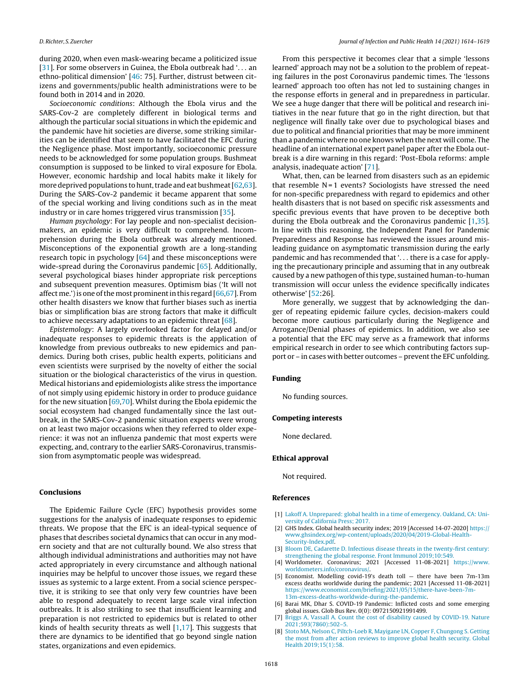during 2020, when even mask-wearing became a politicized issue [31]. For some observers in Guinea, the Ebola outbreak had '... an ethno-political dimension' [46: 75]. Further, distrust between citizens and governments/public health administrations were to be found both in 2014 and in 2020.

Socioeconomic conditions: Although the Ebola virus and the SARS-Cov-2 are completely different in biological terms and although the particular social situations in which the epidemic and the pandemic have hit societies are diverse, some striking similarities can be identified that seem to have facilitated the EFC during the Negligence phase. Most importantly, socioeconomic pressure needs to be acknowledged for some population groups. Bushmeat consumption is supposed to be linked to viral exposure for Ebola. However, economic hardship and local habits make it likely for more deprived populations to hunt, trade and eat bushmeat  $[62,63]$ . During the SARS-Cov-2 pandemic it became apparent that some of the special working and living conditions such as in the meat industry or in care homes triggered virus transmission [35].

Human psychology: For lay people and non-specialist decisionmakers, an epidemic is very difficult to comprehend. Incomprehension during the Ebola outbreak was already mentioned. Misconceptions of the exponential growth are a long-standing research topic in psychology  $[64]$  and these misconceptions were wide-spread during the Coronavirus pandemic [65]. Additionally, several psychological biases hinder appropriate risk perceptions and subsequent prevention measures. Optimism bias ('It will not affect me.')is one ofthe most prominentin this regard [66,67]. From other health disasters we know that further biases such as inertia bias or simplification bias are strong factors that make it difficult to achieve necessary adaptations to an epidemic threat [68].

Epistemology: A largely overlooked factor for delayed and/or inadequate responses to epidemic threats is the application of knowledge from previous outbreaks to new epidemics and pandemics. During both crises, public health experts, politicians and even scientists were surprised by the novelty of either the social situation or the biological characteristics of the virus in question. Medical historians and epidemiologists alike stress the importance of not simply using epidemic history in order to produce guidance for the new situation [69,70]. Whilst during the Ebola epidemic the social ecosystem had changed fundamentally since the last outbreak, in the SARS-Cov-2 pandemic situation experts were wrong on at least two major occasions when they referred to older experience: it was not an influenza pandemic that most experts were expecting, and, contrary to the earlier SARS-Coronavirus, transmission from asymptomatic people was widespread.

# **Conclusions**

The Epidemic Failure Cycle (EFC) hypothesis provides some suggestions for the analysis of inadequate responses to epidemic threats. We propose that the EFC is an ideal-typical sequence of phases that describes societal dynamics that can occur in any modern society and that are not culturally bound. We also stress that although individual administrations and authorities may not have acted appropriately in every circumstance and although national inquiries may be helpful to uncover those issues, we regard these issues as systemic to a large extent. From a social science perspective, it is striking to see that only very few countries have been able to respond adequately to recent large scale viral infection outbreaks. It is also striking to see that insufficient learning and preparation is not restricted to epidemics but is related to other kinds of health security threats as well  $[1,17]$ . This suggests that there are dynamics to be identified that go beyond single nation states, organizations and even epidemics.

From this perspective it becomes clear that a simple 'lessons learned' approach may not be a solution to the problem of repeating failures in the post Coronavirus pandemic times. The 'lessons learned' approach too often has not led to sustaining changes in the response efforts in general and in preparedness in particular. We see a huge danger that there will be political and research initiatives in the near future that go in the right direction, but that negligence will finally take over due to psychological biases and due to political and financial priorities that may be more imminent than a pandemic where no one knows when the next will come. The headline of an international expert panel paper after the Ebola outbreak is a dire warning in this regard: 'Post-Ebola reforms: ample analysis, inadequate action' [71].

What, then, can be learned from disasters such as an epidemic that resemble  $N = 1$  events? Sociologists have stressed the need for non-specific preparedness with regard to epidemics and other health disasters that is not based on specific risk assessments and specific previous events that have proven to be deceptive both during the Ebola outbreak and the Coronavirus pandemic [1,35]. In line with this reasoning, the Independent Panel for Pandemic Preparedness and Response has reviewed the issues around misleading guidance on asymptomatic transmission during the early pandemic and has recommended that '. . . there is a case for applying the precautionary principle and assuming that in any outbreak caused by a new pathogen of this type, sustained human-to-human transmission will occur unless the evidence specifically indicates otherwise' [52:26].

More generally, we suggest that by acknowledging the danger of repeating epidemic failure cycles, decision-makers could become more cautious particularly during the Negligence and Arrogance/Denial phases of epidemics. In addition, we also see a potential that the EFC may serve as a framework that informs empirical research in order to see which contributing factors support or - in cases with better outcomes - prevent the EFC unfolding.

#### **Funding**

No funding sources.

#### **Competing interests**

None declared.

#### **Ethical approval**

Not required.

#### **References**

- [1] [Lakoff](http://refhub.elsevier.com/S1876-0341(21)00254-9/sbref0005) [A.](http://refhub.elsevier.com/S1876-0341(21)00254-9/sbref0005) [Unprepared:](http://refhub.elsevier.com/S1876-0341(21)00254-9/sbref0005) [global](http://refhub.elsevier.com/S1876-0341(21)00254-9/sbref0005) [health](http://refhub.elsevier.com/S1876-0341(21)00254-9/sbref0005) [in](http://refhub.elsevier.com/S1876-0341(21)00254-9/sbref0005) [a](http://refhub.elsevier.com/S1876-0341(21)00254-9/sbref0005) [time](http://refhub.elsevier.com/S1876-0341(21)00254-9/sbref0005) [of](http://refhub.elsevier.com/S1876-0341(21)00254-9/sbref0005) [emergency.](http://refhub.elsevier.com/S1876-0341(21)00254-9/sbref0005) [Oakland,](http://refhub.elsevier.com/S1876-0341(21)00254-9/sbref0005) [CA:](http://refhub.elsevier.com/S1876-0341(21)00254-9/sbref0005) [Uni](http://refhub.elsevier.com/S1876-0341(21)00254-9/sbref0005)[versity](http://refhub.elsevier.com/S1876-0341(21)00254-9/sbref0005) [of](http://refhub.elsevier.com/S1876-0341(21)00254-9/sbref0005) [California](http://refhub.elsevier.com/S1876-0341(21)00254-9/sbref0005) [Press;](http://refhub.elsevier.com/S1876-0341(21)00254-9/sbref0005) [2017.](http://refhub.elsevier.com/S1876-0341(21)00254-9/sbref0005)
- [2] GHS Index. Global health security index; 2019 [Accessed 14-07-2020] [https://](https://www.ghsindex.org/wp-content/uploads/2020/04/2019-Global-Health-Security-Index.pdf) [www.ghsindex.org/wp-content/uploads/2020/04/2019-Global-Health-](https://www.ghsindex.org/wp-content/uploads/2020/04/2019-Global-Health-Security-Index.pdf)[Security-Index.pdf](https://www.ghsindex.org/wp-content/uploads/2020/04/2019-Global-Health-Security-Index.pdf).
- [3] [Bloom](http://refhub.elsevier.com/S1876-0341(21)00254-9/sbref0015) [DE,](http://refhub.elsevier.com/S1876-0341(21)00254-9/sbref0015) [Cadarette](http://refhub.elsevier.com/S1876-0341(21)00254-9/sbref0015) [D.](http://refhub.elsevier.com/S1876-0341(21)00254-9/sbref0015) [Infectious](http://refhub.elsevier.com/S1876-0341(21)00254-9/sbref0015) [disease](http://refhub.elsevier.com/S1876-0341(21)00254-9/sbref0015) [threats](http://refhub.elsevier.com/S1876-0341(21)00254-9/sbref0015) [in](http://refhub.elsevier.com/S1876-0341(21)00254-9/sbref0015) [the](http://refhub.elsevier.com/S1876-0341(21)00254-9/sbref0015) [twenty-first](http://refhub.elsevier.com/S1876-0341(21)00254-9/sbref0015) [century:](http://refhub.elsevier.com/S1876-0341(21)00254-9/sbref0015) [strengthening](http://refhub.elsevier.com/S1876-0341(21)00254-9/sbref0015) [the](http://refhub.elsevier.com/S1876-0341(21)00254-9/sbref0015) [global](http://refhub.elsevier.com/S1876-0341(21)00254-9/sbref0015) [response.](http://refhub.elsevier.com/S1876-0341(21)00254-9/sbref0015) [Front](http://refhub.elsevier.com/S1876-0341(21)00254-9/sbref0015) [Immunol](http://refhub.elsevier.com/S1876-0341(21)00254-9/sbref0015) [2019;10:549.](http://refhub.elsevier.com/S1876-0341(21)00254-9/sbref0015)
- [4] Worldometer. Coronavirus; 2021 [Accessed 11-08-2021] [https://www.](https://www.worldometers.info/coronavirus/) worldometers.info/coronavirus.
- [5] Economist. Modelling covid-19's death toll there have been 7m-13m excess deaths worldwide during the pandemic; 2021 [Accessed 11-08-2021] [https://www.economist.com/briefing/2021/05/15/there-have-been-7m-](https://www.economist.com/briefing/2021/05/15/there-have-been-7m-13m-excess-deaths-worldwide-during-the-pandemic)[13m-excess-deaths-worldwide-during-the-pandemic.](https://www.economist.com/briefing/2021/05/15/there-have-been-7m-13m-excess-deaths-worldwide-during-the-pandemic)
- [6] Barai MK, Dhar S. COVID-19 Pandemic: Inflicted costs and some emerging global issues. Glob Bus Rev. 0(0): 0972150921991499.
- [Briggs](http://refhub.elsevier.com/S1876-0341(21)00254-9/sbref0035) [A,](http://refhub.elsevier.com/S1876-0341(21)00254-9/sbref0035) [Vassall](http://refhub.elsevier.com/S1876-0341(21)00254-9/sbref0035) [A.](http://refhub.elsevier.com/S1876-0341(21)00254-9/sbref0035) [Count](http://refhub.elsevier.com/S1876-0341(21)00254-9/sbref0035) [the](http://refhub.elsevier.com/S1876-0341(21)00254-9/sbref0035) [cost](http://refhub.elsevier.com/S1876-0341(21)00254-9/sbref0035) [of](http://refhub.elsevier.com/S1876-0341(21)00254-9/sbref0035) [disability](http://refhub.elsevier.com/S1876-0341(21)00254-9/sbref0035) [caused](http://refhub.elsevier.com/S1876-0341(21)00254-9/sbref0035) [by](http://refhub.elsevier.com/S1876-0341(21)00254-9/sbref0035) [COVID-19.](http://refhub.elsevier.com/S1876-0341(21)00254-9/sbref0035) [Nature](http://refhub.elsevier.com/S1876-0341(21)00254-9/sbref0035) [2021;593\(7860\):502–5.](http://refhub.elsevier.com/S1876-0341(21)00254-9/sbref0035)
- [8] [Stoto](http://refhub.elsevier.com/S1876-0341(21)00254-9/sbref0040) [MA,](http://refhub.elsevier.com/S1876-0341(21)00254-9/sbref0040) [Nelson](http://refhub.elsevier.com/S1876-0341(21)00254-9/sbref0040) [C,](http://refhub.elsevier.com/S1876-0341(21)00254-9/sbref0040) [Piltch-Loeb](http://refhub.elsevier.com/S1876-0341(21)00254-9/sbref0040) [R,](http://refhub.elsevier.com/S1876-0341(21)00254-9/sbref0040) [Mayigane](http://refhub.elsevier.com/S1876-0341(21)00254-9/sbref0040) [LN,](http://refhub.elsevier.com/S1876-0341(21)00254-9/sbref0040) [Copper](http://refhub.elsevier.com/S1876-0341(21)00254-9/sbref0040) [F,](http://refhub.elsevier.com/S1876-0341(21)00254-9/sbref0040) [Chungong](http://refhub.elsevier.com/S1876-0341(21)00254-9/sbref0040) [S.](http://refhub.elsevier.com/S1876-0341(21)00254-9/sbref0040) [Getting](http://refhub.elsevier.com/S1876-0341(21)00254-9/sbref0040) [the](http://refhub.elsevier.com/S1876-0341(21)00254-9/sbref0040) [most](http://refhub.elsevier.com/S1876-0341(21)00254-9/sbref0040) [from](http://refhub.elsevier.com/S1876-0341(21)00254-9/sbref0040) [after](http://refhub.elsevier.com/S1876-0341(21)00254-9/sbref0040) [action](http://refhub.elsevier.com/S1876-0341(21)00254-9/sbref0040) [reviews](http://refhub.elsevier.com/S1876-0341(21)00254-9/sbref0040) [to](http://refhub.elsevier.com/S1876-0341(21)00254-9/sbref0040) [improve](http://refhub.elsevier.com/S1876-0341(21)00254-9/sbref0040) [global](http://refhub.elsevier.com/S1876-0341(21)00254-9/sbref0040) [health](http://refhub.elsevier.com/S1876-0341(21)00254-9/sbref0040) [security.](http://refhub.elsevier.com/S1876-0341(21)00254-9/sbref0040) [Global](http://refhub.elsevier.com/S1876-0341(21)00254-9/sbref0040) [Health](http://refhub.elsevier.com/S1876-0341(21)00254-9/sbref0040) [2019;15\(1\):58.](http://refhub.elsevier.com/S1876-0341(21)00254-9/sbref0040)